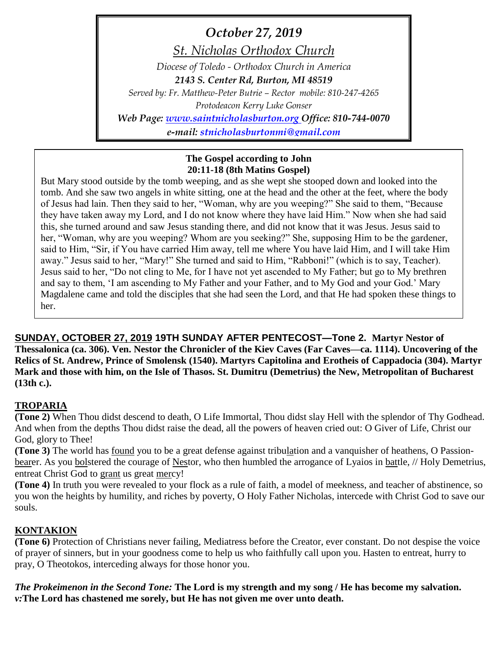*October 27, 2019*

*St. Nicholas Orthodox Church*

*Diocese of Toledo - Orthodox Church in America*

*2143 S. Center Rd, Burton, MI 48519*

*Served by: Fr. Matthew-Peter Butrie – Rector mobile: 810-247-4265*

*Protodeacon Kerry Luke Gonser*

*Web Page: [www.saintnicholasburton.org](http://www.saintnicholasburton.org/) Office: 810-744-0070*

*e-mail: [stnicholasburtonmi@gmail.com](mailto:stnicholasburtonmi@gmail.com)*

### **The Gospel according to John 20:11-18 (8th Matins Gospel)**

But Mary stood outside by the tomb weeping, and as she wept she stooped down and looked into the tomb. And she saw two angels in white sitting, one at the head and the other at the feet, where the body of Jesus had lain. Then they said to her, "Woman, why are you weeping?" She said to them, "Because they have taken away my Lord, and I do not know where they have laid Him." Now when she had said this, she turned around and saw Jesus standing there, and did not know that it was Jesus. Jesus said to her, "Woman, why are you weeping? Whom are you seeking?" She, supposing Him to be the gardener, said to Him, "Sir, if You have carried Him away, tell me where You have laid Him, and I will take Him away." Jesus said to her, "Mary!" She turned and said to Him, "Rabboni!" (which is to say, Teacher). Jesus said to her, "Do not cling to Me, for I have not yet ascended to My Father; but go to My brethren and say to them, 'I am ascending to My Father and your Father, and to My God and your God.' Mary Magdalene came and told the disciples that she had seen the Lord, and that He had spoken these things to her.

**SUNDAY, OCTOBER 27, 2019 19TH SUNDAY AFTER PENTECOST—Tone 2. Martyr Nestor of Thessalonica (ca. 306). Ven. Nestor the Chronicler of the Kiev Caves (Far Caves—ca. 1114). Uncovering of the Relics of St. Andrew, Prince of Smolensk (1540). Martyrs Capitolina and Erotheis of Cappadocia (304). Martyr Mark and those with him, on the Isle of Thasos. St. Dumitru (Demetrius) the New, Metropolitan of Bucharest (13th c.).**

## **TROPARIA**

**(Tone 2)** When Thou didst descend to death, O Life Immortal, Thou didst slay Hell with the splendor of Thy Godhead. And when from the depths Thou didst raise the dead, all the powers of heaven cried out: O Giver of Life, Christ our God, glory to Thee!

**(Tone 3)** The world has found you to be a great defense against tribulation and a vanquisher of heathens, O Passionbearer. As you bolstered the courage of Nestor, who then humbled the arrogance of Lyaios in battle, // Holy Demetrius, entreat Christ God to grant us great mercy!

**(Tone 4)** In truth you were revealed to your flock as a rule of faith, a model of meekness, and teacher of abstinence, so you won the heights by humility, and riches by poverty, O Holy Father Nicholas, intercede with Christ God to save our souls.

## **KONTAKION**

**(Tone 6)** Protection of Christians never failing, Mediatress before the Creator, ever constant. Do not despise the voice of prayer of sinners, but in your goodness come to help us who faithfully call upon you. Hasten to entreat, hurry to pray, O Theotokos, interceding always for those honor you.

*The Prokeimenon in the Second Tone:* **The Lord is my strength and my song / He has become my salvation.** *v:***The Lord has chastened me sorely, but He has not given me over unto death.**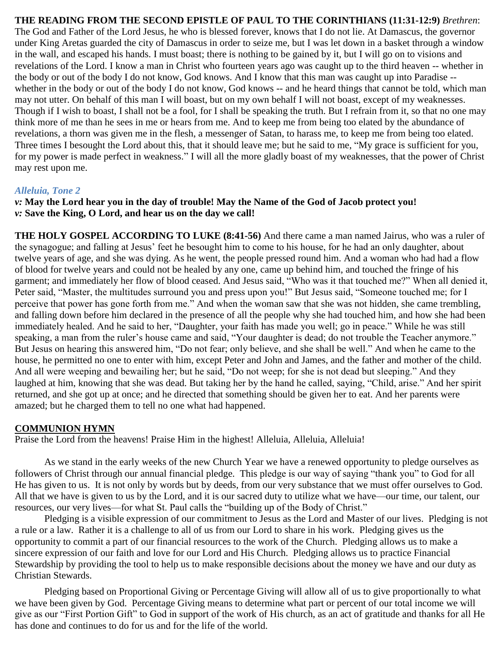# **THE READING FROM THE SECOND EPISTLE OF PAUL TO THE CORINTHIANS (11:31-12:9)** *Brethren*:

The God and Father of the Lord Jesus, he who is blessed forever, knows that I do not lie. At Damascus, the governor under King Aretas guarded the city of Damascus in order to seize me, but I was let down in a basket through a window in the wall, and escaped his hands. I must boast; there is nothing to be gained by it, but I will go on to visions and revelations of the Lord. I know a man in Christ who fourteen years ago was caught up to the third heaven -- whether in the body or out of the body I do not know, God knows. And I know that this man was caught up into Paradise - whether in the body or out of the body I do not know, God knows -- and he heard things that cannot be told, which man may not utter. On behalf of this man I will boast, but on my own behalf I will not boast, except of my weaknesses. Though if I wish to boast, I shall not be a fool, for I shall be speaking the truth. But I refrain from it, so that no one may think more of me than he sees in me or hears from me. And to keep me from being too elated by the abundance of revelations, a thorn was given me in the flesh, a messenger of Satan, to harass me, to keep me from being too elated. Three times I besought the Lord about this, that it should leave me; but he said to me, "My grace is sufficient for you, for my power is made perfect in weakness." I will all the more gladly boast of my weaknesses, that the power of Christ may rest upon me.

#### *Alleluia, Tone 2*

*v:* **May the Lord hear you in the day of trouble! May the Name of the God of Jacob protect you!** *v:* **Save the King, O Lord, and hear us on the day we call!**

**THE HOLY GOSPEL ACCORDING TO LUKE (8:41-56)** And there came a man named Jairus, who was a ruler of the synagogue; and falling at Jesus' feet he besought him to come to his house, for he had an only daughter, about twelve years of age, and she was dying. As he went, the people pressed round him. And a woman who had had a flow of blood for twelve years and could not be healed by any one, came up behind him, and touched the fringe of his garment; and immediately her flow of blood ceased. And Jesus said, "Who was it that touched me?" When all denied it, Peter said, "Master, the multitudes surround you and press upon you!" But Jesus said, "Someone touched me; for I perceive that power has gone forth from me." And when the woman saw that she was not hidden, she came trembling, and falling down before him declared in the presence of all the people why she had touched him, and how she had been immediately healed. And he said to her, "Daughter, your faith has made you well; go in peace." While he was still speaking, a man from the ruler's house came and said, "Your daughter is dead; do not trouble the Teacher anymore." But Jesus on hearing this answered him, "Do not fear; only believe, and she shall be well." And when he came to the house, he permitted no one to enter with him, except Peter and John and James, and the father and mother of the child. And all were weeping and bewailing her; but he said, "Do not weep; for she is not dead but sleeping." And they laughed at him, knowing that she was dead. But taking her by the hand he called, saying, "Child, arise." And her spirit returned, and she got up at once; and he directed that something should be given her to eat. And her parents were amazed; but he charged them to tell no one what had happened.

#### **COMMUNION HYMN**

Praise the Lord from the heavens! Praise Him in the highest! Alleluia, Alleluia, Alleluia!

As we stand in the early weeks of the new Church Year we have a renewed opportunity to pledge ourselves as followers of Christ through our annual financial pledge. This pledge is our way of saying "thank you" to God for all He has given to us. It is not only by words but by deeds, from our very substance that we must offer ourselves to God. All that we have is given to us by the Lord, and it is our sacred duty to utilize what we have—our time, our talent, our resources, our very lives—for what St. Paul calls the "building up of the Body of Christ."

Pledging is a visible expression of our commitment to Jesus as the Lord and Master of our lives. Pledging is not a rule or a law. Rather it is a challenge to all of us from our Lord to share in his work. Pledging gives us the opportunity to commit a part of our financial resources to the work of the Church. Pledging allows us to make a sincere expression of our faith and love for our Lord and His Church. Pledging allows us to practice Financial Stewardship by providing the tool to help us to make responsible decisions about the money we have and our duty as Christian Stewards.

Pledging based on Proportional Giving or Percentage Giving will allow all of us to give proportionally to what we have been given by God. Percentage Giving means to determine what part or percent of our total income we will give as our "First Portion Gift" to God in support of the work of His church, as an act of gratitude and thanks for all He has done and continues to do for us and for the life of the world.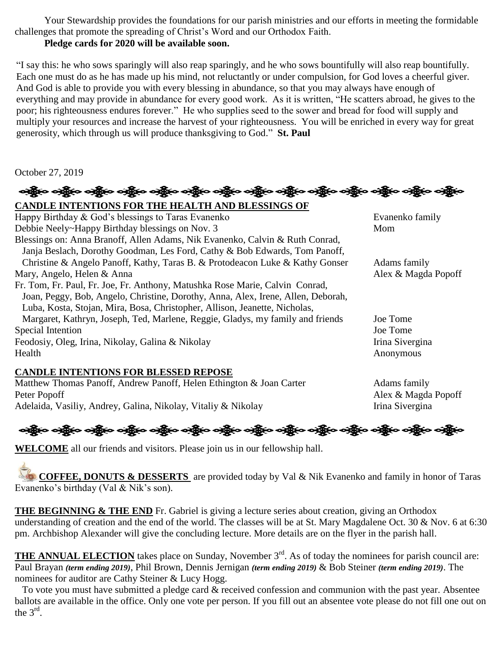Your Stewardship provides the foundations for our parish ministries and our efforts in meeting the formidable challenges that promote the spreading of Christ's Word and our Orthodox Faith.

## **Pledge cards for 2020 will be available soon.**

"I say this: he who sows sparingly will also reap sparingly, and he who sows bountifully will also reap bountifully. Each one must do as he has made up his mind, not reluctantly or under compulsion, for God loves a cheerful giver. And God is able to provide you with every blessing in abundance, so that you may always have enough of everything and may provide in abundance for every good work. As it is written, "He scatters abroad, he gives to the poor; his righteousness endures forever." He who supplies seed to the sower and bread for food will supply and multiply your resources and increase the harvest of your righteousness. You will be enriched in every way for great generosity, which through us will produce thanksgiving to God." **St. Paul**

October 27, 2019

ခရွိက ခရွိက ခရွိက ခရွိက အိုင်း အိုင်း ခရွိက ခရွိက ခရွိက ခရွိက ခရွိက ခရွိက ခရွိက ခရွိက ခရွိက **CANDLE INTENTIONS FOR THE HEALTH AND BLESSINGS OF**  Happy Birthday & God's blessings to Taras Evanenko examples of the Evanenko family Debbie Neely~Happy Birthday blessings on Nov. 3 Mom Blessings on: Anna Branoff, Allen Adams, Nik Evanenko, Calvin & Ruth Conrad, Janja Beslach, Dorothy Goodman, Les Ford, Cathy & Bob Edwards, Tom Panoff, Christine & Angelo Panoff, Kathy, Taras B. & Protodeacon Luke & Kathy Gonser Adams family Mary, Angelo, Helen & Anna  $\blacksquare$  Alex & Magda Popoff Fr. Tom, Fr. Paul, Fr. Joe, Fr. Anthony, Matushka Rose Marie, Calvin Conrad, Joan, Peggy, Bob, Angelo, Christine, Dorothy, Anna, Alex, Irene, Allen, Deborah, Luba, Kosta, Stojan, Mira, Bosa, Christopher, Allison, Jeanette, Nicholas, Margaret, Kathryn, Joseph, Ted, Marlene, Reggie, Gladys, my family and friends Joe Tome Special Intention Joe Tome Feodosiy, Oleg, Irina, Nikolay, Galina & Nikolay Irina Sivergina Health Anonymous

### **CANDLE INTENTIONS FOR BLESSED REPOSE**

Matthew Thomas Panoff, Andrew Panoff, Helen Ethington & Joan Carter Adams family Peter Popoff **Alex & Magda Popoff** Alex & Magda Popoff Adelaida, Vasiliy, Andrey, Galina, Nikolay, Vitaliy & Nikolay Irina Sivergina



**WELCOME** all our friends and visitors. Please join us in our fellowship hall.

**COFFEE, DONUTS & DESSERTS** are provided today by Val & Nik Evanenko and family in honor of Taras Evanenko's birthday (Val & Nik's son).

**THE BEGINNING & THE END** Fr. Gabriel is giving a lecture series about creation, giving an Orthodox understanding of creation and the end of the world. The classes will be at St. Mary Magdalene Oct. 30 & Nov. 6 at 6:30 pm. Archbishop Alexander will give the concluding lecture. More details are on the flyer in the parish hall.

**THE ANNUAL ELECTION** takes place on Sunday, November 3<sup>rd</sup>. As of today the nominees for parish council are: Paul Brayan *(term ending 2019)*, Phil Brown, Dennis Jernigan *(term ending 2019)* & Bob Steiner *(term ending 2019)*. The nominees for auditor are Cathy Steiner & Lucy Hogg.

 To vote you must have submitted a pledge card & received confession and communion with the past year. Absentee ballots are available in the office. Only one vote per person. If you fill out an absentee vote please do not fill one out on the  $3^{\text{rd}}$ .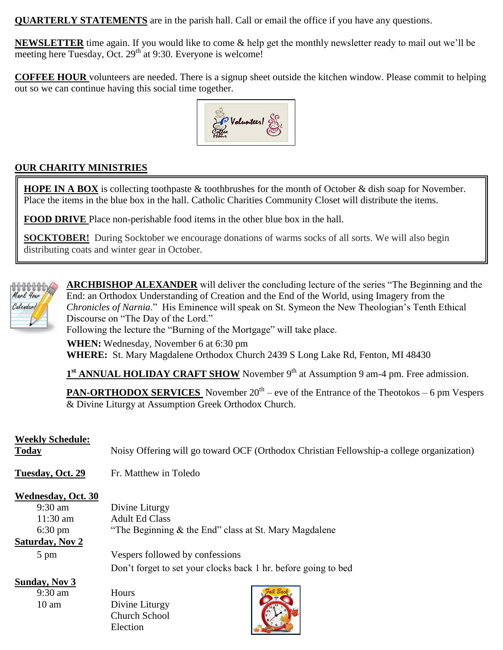**QUARTERLY STATEMENTS** are in the parish hall. Call or email the office if you have any questions.

**NEWSLETTER** time again. If you would like to come & help get the monthly newsletter ready to mail out we'll be meeting here Tuesday, Oct. 29<sup>th</sup> at 9:30. Everyone is welcome!

**COFFEE HOUR** volunteers are needed. There is a signup sheet outside the kitchen window. Please commit to helping out so we can continue having this social time together.



## **OUR CHARITY MINISTRIES**

**HOPE IN A BOX** is collecting toothpaste & toothbrushes for the month of October & dish soap for November. Place the items in the blue box in the hall. Catholic Charities Community Closet will distribute the items.

**FOOD DRIVE** Place non-perishable food items in the other blue box in the hall.

**SOCKTOBER!** During Socktober we encourage donations of warms socks of all sorts. We will also begin distributing coats and winter gear in October.



**ARCHBISHOP ALEXANDER** will deliver the concluding lecture of the series "The Beginning and the End: an Orthodox Understanding of Creation and the End of the World, using Imagery from the *Chronicles of Narnia*." His Eminence will speak on St. Symeon the New Theologian's Tenth Ethical Discourse on "The Day of the Lord."

Following the lecture the "Burning of the Mortgage" will take place.

**WHEN:** Wednesday, November 6 at 6:30 pm **WHERE:** St. Mary Magdalene Orthodox Church 2439 S Long Lake Rd, Fenton, MI 48430

1<sup>st</sup> **ANNUAL HOLIDAY CRAFT SHOW** November 9<sup>th</sup> at Assumption 9 am-4 pm. Free admission.

**PAN-ORTHODOX SERVICES** November 20<sup>th</sup> – eve of the Entrance of the Theotokos – 6 pm Vespers & Divine Liturgy at Assumption Greek Orthodox Church.

### **Weekly Schedule:**

**Today** Noisy Offering will go toward OCF (Orthodox Christian Fellowship-a college organization)

**Tuesday, Oct. 29** Fr. Matthew in Toledo

Election

#### **Wednesday, Oct. 30**

| $9:30$ am              | Divine Liturgy                                        |                                                                |
|------------------------|-------------------------------------------------------|----------------------------------------------------------------|
| $11:30$ am             | <b>Adult Ed Class</b>                                 |                                                                |
| $6:30 \text{ pm}$      | "The Beginning & the End" class at St. Mary Magdalene |                                                                |
| <b>Saturday, Nov 2</b> |                                                       |                                                                |
| $5 \text{ pm}$         | Vespers followed by confessions                       |                                                                |
|                        |                                                       | Don't forget to set your clocks back 1 hr. before going to bed |
| Sunday, Nov 3          |                                                       |                                                                |
| $9:30$ am              | <b>Hours</b>                                          |                                                                |
| $10 \text{ am}$        | Divine Liturgy                                        |                                                                |
|                        | Church School                                         |                                                                |